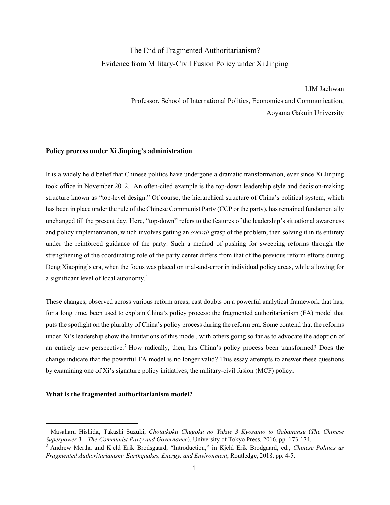# The End of Fragmented Authoritarianism? Evidence from Military-Civil Fusion Policy under Xi Jinping

LIM Jaehwan Professor, School of International Politics, Economics and Communication, Aoyama Gakuin University

## **Policy process under Xi Jinping's administration**

It is a widely held belief that Chinese politics have undergone a dramatic transformation, ever since Xi Jinping took office in November 2012. An often-cited example is the top-down leadership style and decision-making structure known as "top-level design." Of course, the hierarchical structure of China's political system, which has been in place under the rule of the Chinese Communist Party (CCP or the party), has remained fundamentally unchanged till the present day. Here, "top-down" refers to the features of the leadership's situational awareness and policy implementation, which involves getting an *overall* grasp of the problem, then solving it in its entirety under the reinforced guidance of the party. Such a method of pushing for sweeping reforms through the strengthening of the coordinating role of the party center differs from that of the previous reform efforts during Deng Xiaoping's era, when the focus was placed on trial-and-error in individual policy areas, while allowing for a significant level of local autonomy. [1](#page-0-0)

These changes, observed across various reform areas, cast doubts on a powerful analytical framework that has, for a long time, been used to explain China's policy process: the fragmented authoritarianism (FA) model that puts the spotlight on the plurality of China's policy process during the reform era. Some contend that the reforms under Xi's leadership show the limitations of this model, with others going so far as to advocate the adoption of an entirely new perspective. [2](#page-0-1) How radically, then, has China's policy process been transformed? Does the change indicate that the powerful FA model is no longer valid? This essay attempts to answer these questions by examining one of Xi's signature policy initiatives, the military-civil fusion (MCF) policy.

## **What is the fragmented authoritarianism model?**

<span id="page-0-0"></span><sup>1</sup> Masaharu Hishida, Takashi Suzuki, *Chotaikoku Chugoku no Yukue 3 Kyosanto to Gabanansu* (*The Chinese Superpower 3 – The Communist Party and Governance*), University of Tokyo Press, 2016, pp. 173-174.

<span id="page-0-1"></span><sup>2</sup> Andrew Mertha and Kjeld Erik Brodsgaard, "Introduction," in Kjeld Erik Brodgaard, ed., *Chinese Politics as Fragmented Authoritarianism: Earthquakes, Energy, and Environment*, Routledge, 2018, pp. 4-5.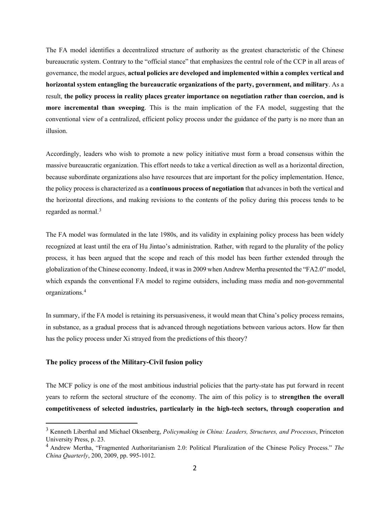The FA model identifies a decentralized structure of authority as the greatest characteristic of the Chinese bureaucratic system. Contrary to the "official stance" that emphasizes the central role of the CCP in all areas of governance, the model argues, **actual policies are developed and implemented within a complex vertical and horizontal system entangling the bureaucratic organizations of the party, government, and military**. As a result, **the policy process in reality places greater importance on negotiation rather than coercion, and is more incremental than sweeping**. This is the main implication of the FA model, suggesting that the conventional view of a centralized, efficient policy process under the guidance of the party is no more than an illusion.

Accordingly, leaders who wish to promote a new policy initiative must form a broad consensus within the massive bureaucratic organization. This effort needs to take a vertical direction as well as a horizontal direction, because subordinate organizations also have resources that are important for the policy implementation. Hence, the policy process is characterized as a **continuous process of negotiation** that advances in both the vertical and the horizontal directions, and making revisions to the contents of the policy during this process tends to be regarded as normal.[3](#page-1-0)

The FA model was formulated in the late 1980s, and its validity in explaining policy process has been widely recognized at least until the era of Hu Jintao's administration. Rather, with regard to the plurality of the policy process, it has been argued that the scope and reach of this model has been further extended through the globalization of the Chinese economy. Indeed, it was in 2009 when Andrew Mertha presented the "FA2.0" model, which expands the conventional FA model to regime outsiders, including mass media and non-governmental organizations.[4](#page-1-1)

In summary, if the FA model is retaining its persuasiveness, it would mean that China's policy process remains, in substance, as a gradual process that is advanced through negotiations between various actors. How far then has the policy process under Xi strayed from the predictions of this theory?

#### **The policy process of the Military-Civil fusion policy**

The MCF policy is one of the most ambitious industrial policies that the party-state has put forward in recent years to reform the sectoral structure of the economy. The aim of this policy is to **strengthen the overall competitiveness of selected industries, particularly in the high-tech sectors, through cooperation and** 

<span id="page-1-0"></span><sup>3</sup> Kenneth Liberthal and Michael Oksenberg, *Policymaking in China: Leaders, Structures, and Processes*, Princeton University Press, p. 23.

<span id="page-1-1"></span><sup>4</sup> Andrew Mertha, "Fragmented Authoritarianism 2.0: Political Pluralization of the Chinese Policy Process." *The China Quarterly*, 200, 2009, pp. 995-1012.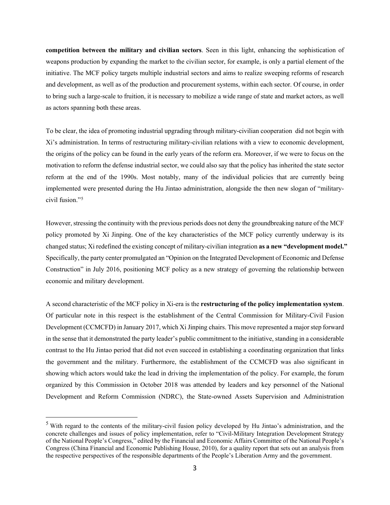**competition between the military and civilian sectors**. Seen in this light, enhancing the sophistication of weapons production by expanding the market to the civilian sector, for example, is only a partial element of the initiative. The MCF policy targets multiple industrial sectors and aims to realize sweeping reforms of research and development, as well as of the production and procurement systems, within each sector. Of course, in order to bring such a large-scale to fruition, it is necessary to mobilize a wide range of state and market actors, as well as actors spanning both these areas.

To be clear, the idea of promoting industrial upgrading through military-civilian cooperation did not begin with Xi's administration. In terms of restructuring military-civilian relations with a view to economic development, the origins of the policy can be found in the early years of the reform era. Moreover, if we were to focus on the motivation to reform the defense industrial sector, we could also say that the policy has inherited the state sector reform at the end of the 1990s. Most notably, many of the individual policies that are currently being implemented were presented during the Hu Jintao administration, alongside the then new slogan of "militarycivil fusion."[5](#page-2-0)

However, stressing the continuity with the previous periods does not deny the groundbreaking nature of the MCF policy promoted by Xi Jinping. One of the key characteristics of the MCF policy currently underway is its changed status; Xi redefined the existing concept of military-civilian integration **as a new "development model."** Specifically, the party center promulgated an "Opinion on the Integrated Development of Economic and Defense Construction" in July 2016, positioning MCF policy as a new strategy of governing the relationship between economic and military development.

A second characteristic of the MCF policy in Xi-era is the **restructuring of the policy implementation system**. Of particular note in this respect is the establishment of the Central Commission for Military-Civil Fusion Development (CCMCFD) in January 2017, which Xi Jinping chairs. This move represented a major step forward in the sense that it demonstrated the party leader's public commitment to the initiative, standing in a considerable contrast to the Hu Jintao period that did not even succeed in establishing a coordinating organization that links the government and the military. Furthermore, the establishment of the CCMCFD was also significant in showing which actors would take the lead in driving the implementation of the policy. For example, the forum organized by this Commission in October 2018 was attended by leaders and key personnel of the National Development and Reform Commission (NDRC), the State-owned Assets Supervision and Administration

<span id="page-2-0"></span><sup>5</sup> With regard to the contents of the military-civil fusion policy developed by Hu Jintao's administration, and the concrete challenges and issues of policy implementation, refer to "Civil-Military Integration Development Strategy of the National People's Congress," edited by the Financial and Economic Affairs Committee of the National People's Congress (China Financial and Economic Publishing House, 2010), for a quality report that sets out an analysis from the respective perspectives of the responsible departments of the People's Liberation Army and the government.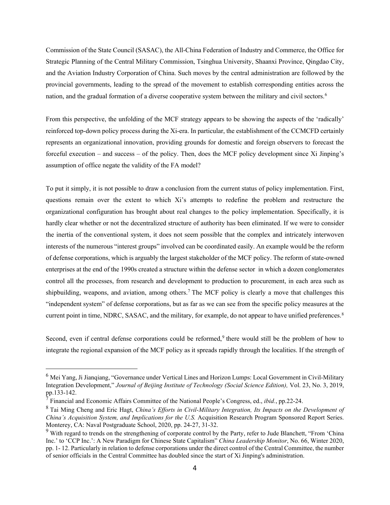Commission of the State Council (SASAC), the All-China Federation of Industry and Commerce, the Office for Strategic Planning of the Central Military Commission, Tsinghua University, Shaanxi Province, Qingdao City, and the Aviation Industry Corporation of China. Such moves by the central administration are followed by the provincial governments, leading to the spread of the movement to establish corresponding entities across the nation, and the gradual formation of a diverse cooperative system between the military and civil sectors.<sup>[6](#page-3-0)</sup>

From this perspective, the unfolding of the MCF strategy appears to be showing the aspects of the 'radically' reinforced top-down policy process during the Xi-era. In particular, the establishment of the CCMCFD certainly represents an organizational innovation, providing grounds for domestic and foreign observers to forecast the forceful execution – and success – of the policy. Then, does the MCF policy development since Xi Jinping's assumption of office negate the validity of the FA model?

To put it simply, it is not possible to draw a conclusion from the current status of policy implementation. First, questions remain over the extent to which Xi's attempts to redefine the problem and restructure the organizational configuration has brought about real changes to the policy implementation. Specifically, it is hardly clear whether or not the decentralized structure of authority has been eliminated. If we were to consider the inertia of the conventional system, it does not seem possible that the complex and intricately interwoven interests of the numerous "interest groups" involved can be coordinated easily. An example would be the reform of defense corporations, which is arguably the largest stakeholder of the MCF policy. The reform of state-owned enterprises at the end of the 1990s created a structure within the defense sector in which a dozen conglomerates control all the processes, from research and development to production to procurement, in each area such as shipbuilding, weapons, and aviation, among others. [7](#page-3-1) The MCF policy is clearly a move that challenges this "independent system" of defense corporations, but as far as we can see from the specific policy measures at the current point in time, NDRC, SASAC, and the military, for example, do not appear to have unified preferences.<sup>[8](#page-3-2)</sup>

Second, even if central defense corporations could be reformed,<sup>[9](#page-3-3)</sup> there would still be the problem of how to integrate the regional expansion of the MCF policy as it spreads rapidly through the localities. If the strength of

<span id="page-3-0"></span><sup>&</sup>lt;sup>6</sup> Mei Yang, Ji Jianqiang, "Governance under Vertical Lines and Horizon Lumps: Local Government in Civil-Military Integration Development," *Journal of Beijing Institute of Technology (Social Science Edition),* Vol. 23, No. 3, 2019, pp.133-142.

<span id="page-3-1"></span><sup>7</sup> Financial and Economic Affairs Committee of the National People's Congress, ed., *ibid.*, pp.22-24.

<span id="page-3-2"></span><sup>8</sup> Tai Ming Cheng and Eric Hagt, *China's Efforts in Civil-Military Integration, Its Impacts on the Development of China's Acquisition System, and Implications for the U.S.* Acquisition Research Program Sponsored Report Series. Monterey, CA: Naval Postgraduate School, 2020, pp. 24-27, 31-32.

<span id="page-3-3"></span><sup>&</sup>lt;sup>9</sup> With regard to trends on the strengthening of corporate control by the Party, refer to Jude Blanchett, "From 'China Inc.' to 'CCP Inc.': A New Paradigm for Chinese State Capitalism" *China Leadership Monitor*, No. 66, Winter 2020, pp. 1- 12. Particularly in relation to defense corporations under the direct control of the Central Committee, the number of senior officials in the Central Committee has doubled since the start of Xi Jinping's administration.